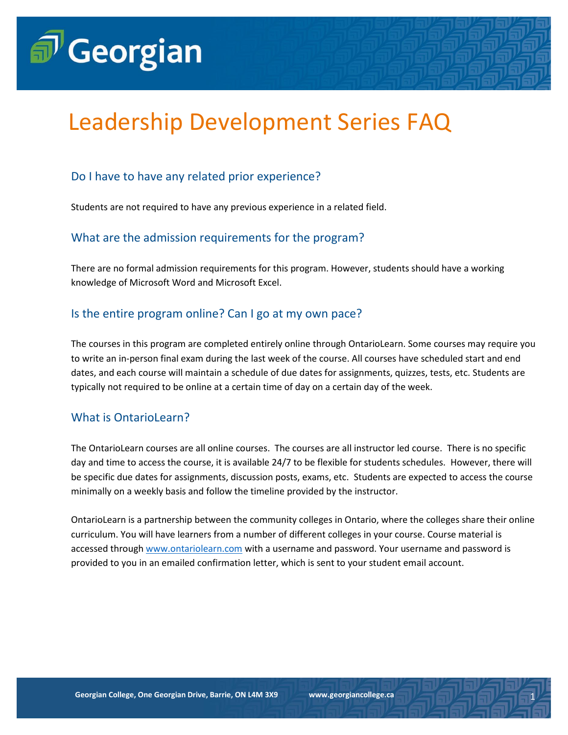# $\widehat{\mathbf{\Theta}}^{\prime}$ Georgian

# Leadership Development Series FAQ

# Do I have to have any related prior experience?

Students are not required to have any previous experience in a related field.

### What are the admission requirements for the program?

There are no formal admission requirements for this program. However, students should have a working knowledge of Microsoft Word and Microsoft Excel.

### Is the entire program online? Can I go at my own pace?

The courses in this program are completed entirely online through OntarioLearn. Some courses may require you to write an in-person final exam during the last week of the course. All courses have scheduled start and end dates, and each course will maintain a schedule of due dates for assignments, quizzes, tests, etc. Students are typically not required to be online at a certain time of day on a certain day of the week.

# What is OntarioLearn?

The OntarioLearn courses are all online courses. The courses are all instructor led course. There is no specific day and time to access the course, it is available 24/7 to be flexible for students schedules. However, there will be specific due dates for assignments, discussion posts, exams, etc. Students are expected to access the course minimally on a weekly basis and follow the timeline provided by the instructor.

OntarioLearn is a partnership between the community colleges in Ontario, where the colleges share their online curriculum. You will have learners from a number of different colleges in your course. Course material is accessed through [www.ontariolearn.com](http://www.ontariolearn.com/) with a username and password. Your username and password is provided to you in an emailed confirmation letter, which is sent to your student email account.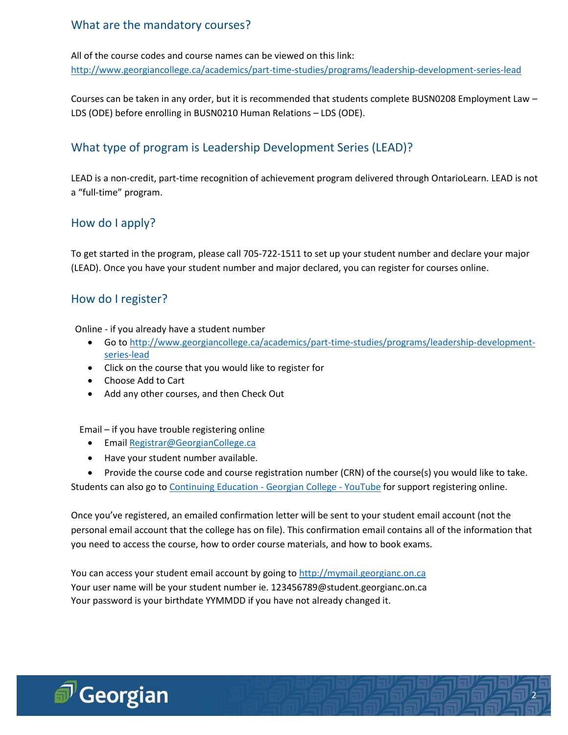# What are the mandatory courses?

All of the course codes and course names can be viewed on this link: <http://www.georgiancollege.ca/academics/part-time-studies/programs/leadership-development-series-lead>

Courses can be taken in any order, but it is recommended that students complete BUSN0208 Employment Law – LDS (ODE) before enrolling in BUSN0210 Human Relations – LDS (ODE).

# What type of program is Leadership Development Series (LEAD)?

LEAD is a non-credit, part-time recognition of achievement program delivered through OntarioLearn. LEAD is not a "full-time" program.

### How do I apply?

To get started in the program, please call 705-722-1511 to set up your student number and declare your major (LEAD). Once you have your student number and major declared, you can register for courses online.

#### How do I register?

Online - if you already have a student number

- Go t[o http://www.georgiancollege.ca/academics/part-time-studies/programs/leadership-development](http://www.georgiancollege.ca/academics/part-time-studies/programs/leadership-development-series-lead)[series-lead](http://www.georgiancollege.ca/academics/part-time-studies/programs/leadership-development-series-lead)
- Click on the course that you would like to register for
- Choose Add to Cart
- Add any other courses, and then Check Out

Email – if you have trouble registering online

- **•** Emai[l Registrar@GeorgianCollege.ca](mailto:Registrar@GeorgianCollege.ca)
- Have your student number available.

 Provide the course code and course registration number (CRN) of the course(s) you would like to take. Students can also go t[o Continuing Education -](https://www.youtube.com/watch?v=IAXDTi7FIRI) Georgian College - YouTube for support registering online.

Once you've registered, an emailed confirmation letter will be sent to your student email account (not the personal email account that the college has on file). This confirmation email contains all of the information that you need to access the course, how to order course materials, and how to book exams.

2

You can access your student email account by going t[o http://mymail.georgianc.on.ca](http://mymail.georgianc.on.ca/) Your user name will be your student number ie. [123456789@student.georgianc.on.ca](mailto:123456789@student.georgianc.on.ca) Your password is your birthdate YYMMDD if you have not already changed it.